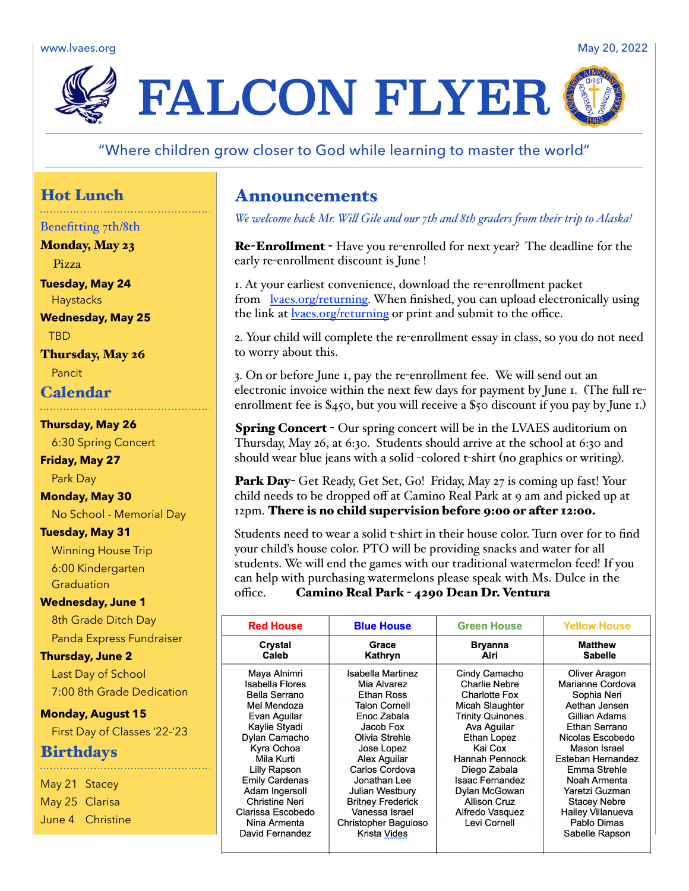www.lvaes.org May 20, 2022 May 20, 2022



## "Where children grow closer to God while learning to master the world"

# Hot Lunch

## Benefitting 7th/8th

Monday, May 23

Pizza

**Tuesday, May 24 Haystacks** 

**Wednesday, May 25** TBD

Thursday, May 26

Pancit

# Calendar

#### **Thursday, May 26**

6:30 Spring Concert

**Friday, May 27** Park Day

**Monday, May 30**

No School - Memorial Day

## **Tuesday, May 31**

Winning House Trip 6:00 Kindergarten **Graduation** 

### **Wednesday, June 1**

8th Grade Ditch Day Panda Express Fundraiser

**Thursday, June 2**

Last Day of School 7:00 8th Grade Dedication

### **Monday, August 15**

First Day of Classes '22-'23

## **Birthdays**

May 21 Stacey May 25 Clarisa June 4 Christine

# Announcements

*We welcome back Mr. Will Gile and our 7th and 8th graders from their trip to Alaska!*

Re-Enrollment - Have you re-enrolled for next year? The deadline for the early re-enrollment discount is June !

1. At your earliest convenience, download the re-enrollment packet from [lvaes.org/returning.](http://lvaes.org/returning) When finished, you can upload electronically using the link at [lvaes.org/returning](http://lvaes.org/returning) or print and submit to the office.

2. Your child will complete the re-enrollment essay in class, so you do not need to worry about this.

3. On or before June 1, pay the re-enrollment fee. We will send out an electronic invoice within the next few days for payment by June 1. (The full reenrollment fee is \$450, but you will receive a \$50 discount if you pay by June 1.)

Spring Concert - Our spring concert will be in the LVAES auditorium on Thursday, May 26, at 6:30. Students should arrive at the school at 6:30 and should wear blue jeans with a solid -colored t-shirt (no graphics or writing).

Park Day- Get Ready, Get Set, Go! Friday, May 27 is coming up fast! Your child needs to be dropped off at Camino Real Park at 9 am and picked up at 12pm. There is no child supervision before 9:00 or after 12:00.

Students need to wear a solid t-shirt in their house color. Turn over for to find your child's house color. PTO will be providing snacks and water for all students. We will end the games with our traditional watermelon feed! If you can help with purchasing watermelons please speak with Ms. Dulce in the office. Camino Real Park - 4290 Dean Dr. Ventura

| <b>Red House</b>      | <b>Blue House</b>        | <b>Green House</b>      | <b>Yellow House</b>      |
|-----------------------|--------------------------|-------------------------|--------------------------|
| Crystal               | Grace                    | <b>Bryanna</b>          | <b>Matthew</b>           |
| Caleb                 | Kathryn                  | Airi                    | <b>Sabelle</b>           |
| Maya Alnimri          | Isabella Martinez        | Cindy Camacho           | Oliver Aragon            |
| Isabella Flores       | Mia Alvarez              | <b>Charlie Nebre</b>    | Marianne Cordova         |
| <b>Bella Serrano</b>  | Ethan Ross               | <b>Charlotte Fox</b>    | Sophia Neri              |
| Mel Mendoza           | <b>Talon Cornell</b>     | Micah Slaughter         | Aethan Jensen            |
| Evan Aguilar          | Enoc Zabala              | <b>Trinity Quinones</b> | Gillian Adams            |
| Kaylie Styadi         | Jacob Fox                | Ava Aguilar             | Ethan Serrano            |
| Dylan Camacho         | Olivia Strehle           | Ethan Lopez             | Nicolas Escobedo         |
| Kyra Ochoa            | Jose Lopez               | Kai Cox                 | Mason Israel             |
| Mila Kurti            | Alex Aguilar             | Hannah Pennock          | Esteban Hernandez        |
| Lilly Rapson          | Carlos Cordova           | Diego Zabala            | Emma Strehle             |
| <b>Emily Cardenas</b> | Jonathan Lee             | Isaac Fernandez         | Noah Armenta             |
| Adam Ingersoll        | Julian Westbury          | Dylan McGowan           | Yaretzi Guzman           |
| <b>Christine Neri</b> | <b>Britney Frederick</b> | <b>Allison Cruz</b>     | <b>Stacey Nebre</b>      |
| Clarissa Escobedo     | Vanessa Israel           | Alfredo Vasquez         | <b>Hailey Villanueva</b> |
| Nina Armenta          | Christopher Baguioso     | Levi Cornell            | Pablo Dimas              |
| David Fernandez       | Krista Vides             |                         | Sabelle Rapson           |